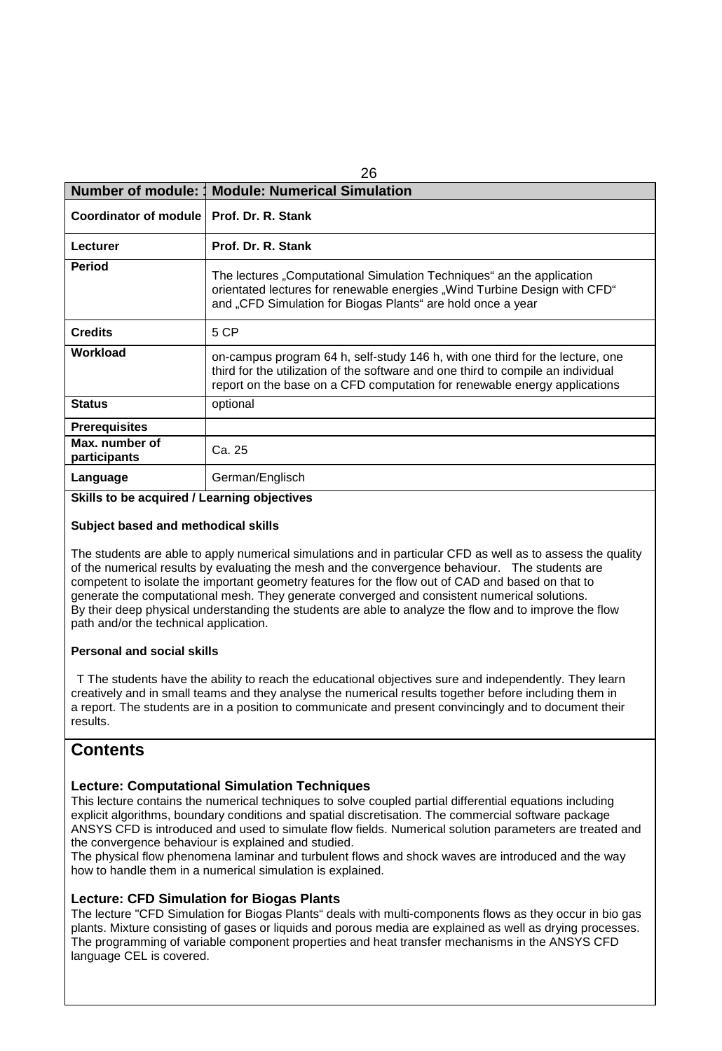| <b>Number of module: 1</b>     | <b>Module: Numerical Simulation</b>                                                                                                                                                                                                            |  |
|--------------------------------|------------------------------------------------------------------------------------------------------------------------------------------------------------------------------------------------------------------------------------------------|--|
| Coordinator of module          | Prof. Dr. R. Stank                                                                                                                                                                                                                             |  |
| Lecturer                       | Prof. Dr. R. Stank                                                                                                                                                                                                                             |  |
| <b>Period</b>                  | The lectures "Computational Simulation Techniques" an the application<br>orientated lectures for renewable energies "Wind Turbine Design with CFD"<br>and "CFD Simulation for Biogas Plants" are hold once a year                              |  |
| <b>Credits</b>                 | 5 CP                                                                                                                                                                                                                                           |  |
| Workload                       | on-campus program 64 h, self-study 146 h, with one third for the lecture, one<br>third for the utilization of the software and one third to compile an individual<br>report on the base on a CFD computation for renewable energy applications |  |
| <b>Status</b>                  | optional                                                                                                                                                                                                                                       |  |
| <b>Prerequisites</b>           |                                                                                                                                                                                                                                                |  |
| Max. number of<br>participants | Ca. 25                                                                                                                                                                                                                                         |  |
| Language                       | German/Englisch                                                                                                                                                                                                                                |  |

 $\sim$ 

### **Skills to be acquired / Learning objectives**

#### **Subject based and methodical skills**

The students are able to apply numerical simulations and in particular CFD as well as to assess the quality of the numerical results by evaluating the mesh and the convergence behaviour. The students are competent to isolate the important geometry features for the flow out of CAD and based on that to generate the computational mesh. They generate converged and consistent numerical solutions. By their deep physical understanding the students are able to analyze the flow and to improve the flow path and/or the technical application.

#### **Personal and social skills**

T The students have the ability to reach the educational objectives sure and independently. They learn creatively and in small teams and they analyse the numerical results together before including them in a report. The students are in a position to communicate and present convincingly and to document their results.

## **Contents**

## **Lecture: Computational Simulation Techniques**

This lecture contains the numerical techniques to solve coupled partial differential equations including explicit algorithms, boundary conditions and spatial discretisation. The commercial software package ANSYS CFD is introduced and used to simulate flow fields. Numerical solution parameters are treated and the convergence behaviour is explained and studied.

The physical flow phenomena laminar and turbulent flows and shock waves are introduced and the way how to handle them in a numerical simulation is explained.

## **Lecture: CFD Simulation for Biogas Plants**

The lecture "CFD Simulation for Biogas Plants" deals with multi-components flows as they occur in bio gas plants. Mixture consisting of gases or liquids and porous media are explained as well as drying processes. The programming of variable component properties and heat transfer mechanisms in the ANSYS CFD language CEL is covered.